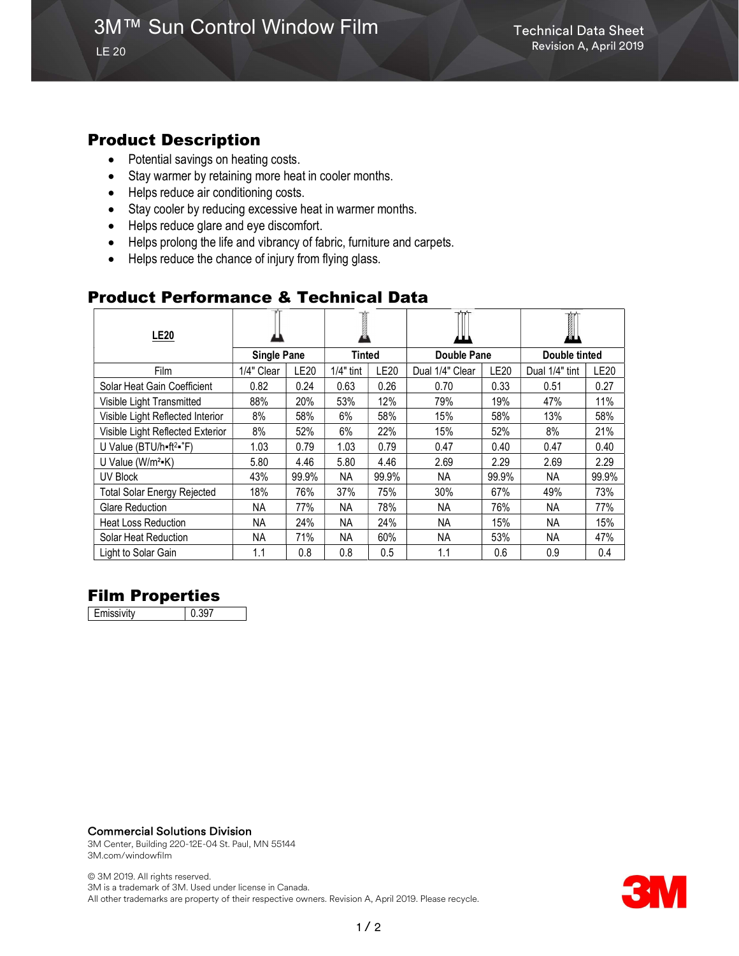#### Product Description

- Potential savings on heating costs.
- Stay warmer by retaining more heat in cooler months.
- Helps reduce air conditioning costs.
- Stay cooler by reducing excessive heat in warmer months.
- Helps reduce glare and eye discomfort.
- Helps prolong the life and vibrancy of fabric, furniture and carpets.
- Helps reduce the chance of injury from flying glass.

## Product Performance & Technical Data

| <b>LE20</b>                                   |                    |             |             |             |                 |             | I              |             |
|-----------------------------------------------|--------------------|-------------|-------------|-------------|-----------------|-------------|----------------|-------------|
|                                               | <b>Single Pane</b> |             | Tinted      |             | Double Pane     |             | Double tinted  |             |
| Film                                          | 1/4" Clear         | <b>LE20</b> | $1/4"$ tint | <b>LE20</b> | Dual 1/4" Clear | <b>LE20</b> | Dual 1/4" tint | <b>LE20</b> |
| Solar Heat Gain Coefficient                   | 0.82               | 0.24        | 0.63        | 0.26        | 0.70            | 0.33        | 0.51           | 0.27        |
| Visible Light Transmitted                     | 88%                | 20%         | 53%         | 12%         | 79%             | 19%         | 47%            | 11%         |
| Visible Light Reflected Interior              | 8%                 | 58%         | 6%          | 58%         | 15%             | 58%         | 13%            | 58%         |
| Visible Light Reflected Exterior              | 8%                 | 52%         | 6%          | 22%         | 15%             | 52%         | 8%             | 21%         |
| U Value (BTU/h=ft <sup>2</sup> = $\degree$ F) | 1.03               | 0.79        | 1.03        | 0.79        | 0.47            | 0.40        | 0.47           | 0.40        |
| U Value ( $W/m^2-K$ )                         | 5.80               | 4.46        | 5.80        | 4.46        | 2.69            | 2.29        | 2.69           | 2.29        |
| <b>UV Block</b>                               | 43%                | 99.9%       | <b>NA</b>   | 99.9%       | NA.             | 99.9%       | NA.            | 99.9%       |
| <b>Total Solar Energy Rejected</b>            | 18%                | 76%         | 37%         | 75%         | 30%             | 67%         | 49%            | 73%         |
| <b>Glare Reduction</b>                        | NA.                | 77%         | NA          | 78%         | <b>NA</b>       | 76%         | NA.            | 77%         |
| <b>Heat Loss Reduction</b>                    | NA.                | 24%         | ΝA          | 24%         | NA.             | 15%         | <b>NA</b>      | 15%         |
| Solar Heat Reduction                          | NA.                | 71%         | NA.         | 60%         | NA.             | 53%         | NA.            | 47%         |
| Light to Solar Gain                           | 1.1                | 0.8         | 0.8         | 0.5         | 1.1             | 0.6         | 0.9            | 0.4         |

## Film Properties

Emissivity 0.397

#### Commercial Solutions Division

3M Center, Building 220-12E-04 St. Paul, MN 55144 3M.com/windowfilm

© 3M 2019. All rights reserved. 3M is a trademark of 3M. Used under license in Canada. All other trademarks are property of their respective owners. Revision A, April 2019. Please recycle.